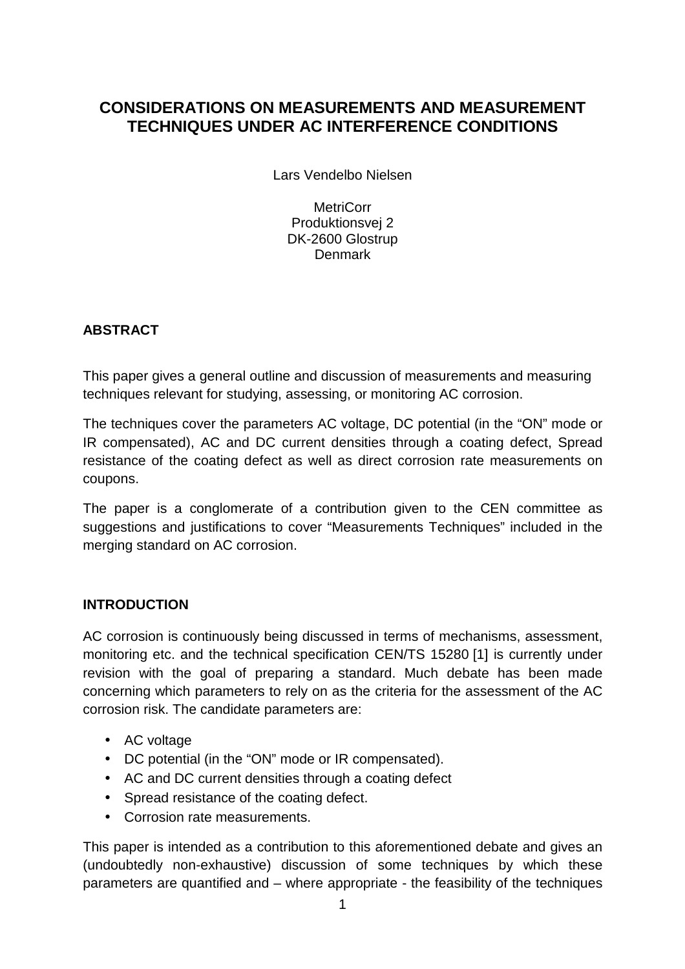# **CONSIDERATIONS ON MEASUREMENTS AND MEASUREMENT TECHNIQUES UNDER AC INTERFERENCE CONDITIONS**

Lars Vendelbo Nielsen

**MetriCorr** Produktionsvej 2 DK-2600 Glostrup Denmark

## **ABSTRACT**

This paper gives a general outline and discussion of measurements and measuring techniques relevant for studying, assessing, or monitoring AC corrosion.

The techniques cover the parameters AC voltage, DC potential (in the "ON" mode or IR compensated), AC and DC current densities through a coating defect, Spread resistance of the coating defect as well as direct corrosion rate measurements on coupons.

The paper is a conglomerate of a contribution given to the CEN committee as suggestions and justifications to cover "Measurements Techniques" included in the merging standard on AC corrosion.

## **INTRODUCTION**

AC corrosion is continuously being discussed in terms of mechanisms, assessment, monitoring etc. and the technical specification CEN/TS 15280 [1] is currently under revision with the goal of preparing a standard. Much debate has been made concerning which parameters to rely on as the criteria for the assessment of the AC corrosion risk. The candidate parameters are:

- AC voltage
- DC potential (in the "ON" mode or IR compensated).
- AC and DC current densities through a coating defect
- Spread resistance of the coating defect.
- Corrosion rate measurements.

This paper is intended as a contribution to this aforementioned debate and gives an (undoubtedly non-exhaustive) discussion of some techniques by which these parameters are quantified and – where appropriate - the feasibility of the techniques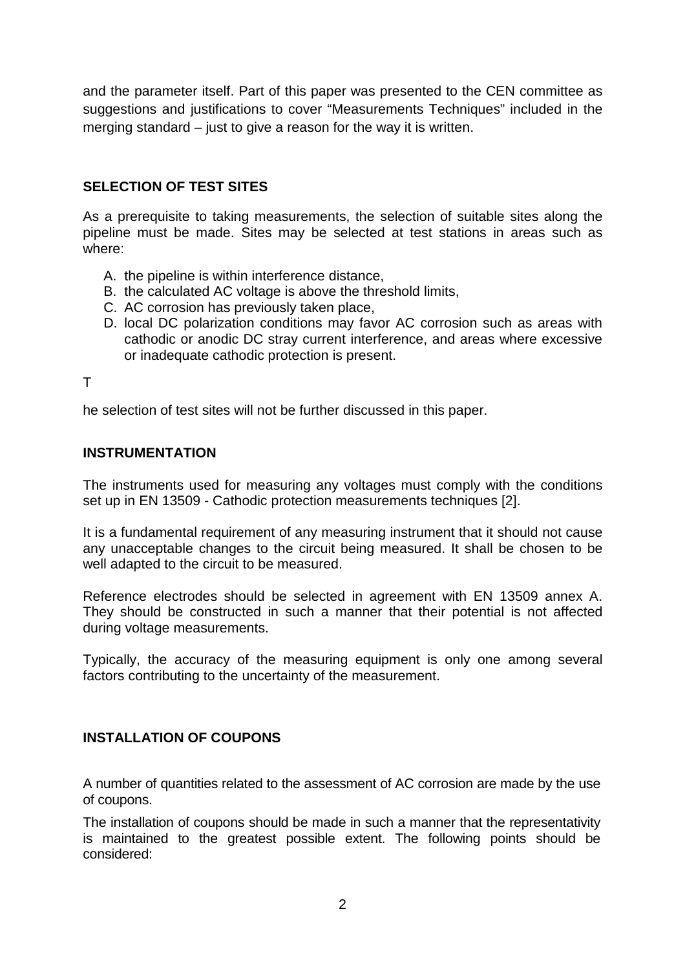and the parameter itself. Part of this paper was presented to the CEN committee as suggestions and justifications to cover "Measurements Techniques" included in the merging standard – just to give a reason for the way it is written.

## **SELECTION OF TEST SITES**

As a prerequisite to taking measurements, the selection of suitable sites along the pipeline must be made. Sites may be selected at test stations in areas such as where:

- A. the pipeline is within interference distance,
- B. the calculated AC voltage is above the threshold limits,
- C. AC corrosion has previously taken place,
- D. local DC polarization conditions may favor AC corrosion such as areas with cathodic or anodic DC stray current interference, and areas where excessive or inadequate cathodic protection is present.

T

he selection of test sites will not be further discussed in this paper.

#### **INSTRUMENTATION**

The instruments used for measuring any voltages must comply with the conditions set up in EN 13509 - Cathodic protection measurements techniques [2].

It is a fundamental requirement of any measuring instrument that it should not cause any unacceptable changes to the circuit being measured. It shall be chosen to be well adapted to the circuit to be measured.

Reference electrodes should be selected in agreement with EN 13509 annex A. They should be constructed in such a manner that their potential is not affected during voltage measurements.

Typically, the accuracy of the measuring equipment is only one among several factors contributing to the uncertainty of the measurement.

#### **INSTALLATION OF COUPONS**

A number of quantities related to the assessment of AC corrosion are made by the use of coupons.

The installation of coupons should be made in such a manner that the representativity is maintained to the greatest possible extent. The following points should be considered: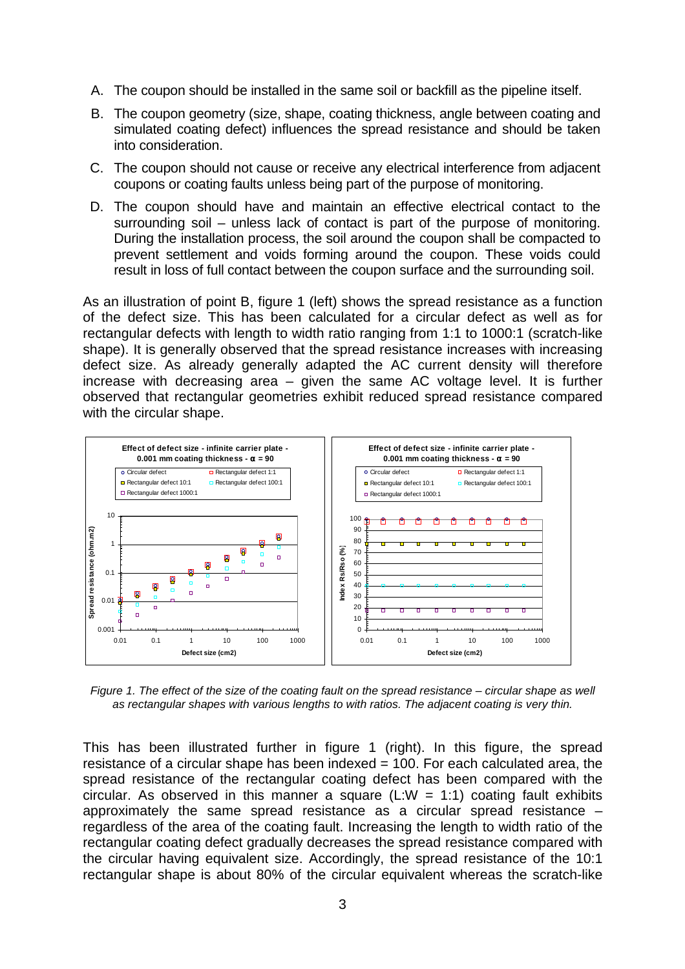- A. The coupon should be installed in the same soil or backfill as the pipeline itself.
- B. The coupon geometry (size, shape, coating thickness, angle between coating and simulated coating defect) influences the spread resistance and should be taken into consideration.
- C. The coupon should not cause or receive any electrical interference from adjacent coupons or coating faults unless being part of the purpose of monitoring.
- D. The coupon should have and maintain an effective electrical contact to the surrounding soil – unless lack of contact is part of the purpose of monitoring. During the installation process, the soil around the coupon shall be compacted to prevent settlement and voids forming around the coupon. These voids could result in loss of full contact between the coupon surface and the surrounding soil.

As an illustration of point B, figure 1 (left) shows the spread resistance as a function of the defect size. This has been calculated for a circular defect as well as for rectangular defects with length to width ratio ranging from 1:1 to 1000:1 (scratch-like shape). It is generally observed that the spread resistance increases with increasing defect size. As already generally adapted the AC current density will therefore increase with decreasing area – given the same AC voltage level. It is further observed that rectangular geometries exhibit reduced spread resistance compared with the circular shape.



Figure 1. The effect of the size of the coating fault on the spread resistance – circular shape as well as rectangular shapes with various lengths to with ratios. The adjacent coating is very thin.

This has been illustrated further in figure 1 (right). In this figure, the spread resistance of a circular shape has been indexed = 100. For each calculated area, the spread resistance of the rectangular coating defect has been compared with the circular. As observed in this manner a square (L:W = 1:1) coating fault exhibits approximately the same spread resistance as a circular spread resistance – regardless of the area of the coating fault. Increasing the length to width ratio of the rectangular coating defect gradually decreases the spread resistance compared with the circular having equivalent size. Accordingly, the spread resistance of the 10:1 rectangular shape is about 80% of the circular equivalent whereas the scratch-like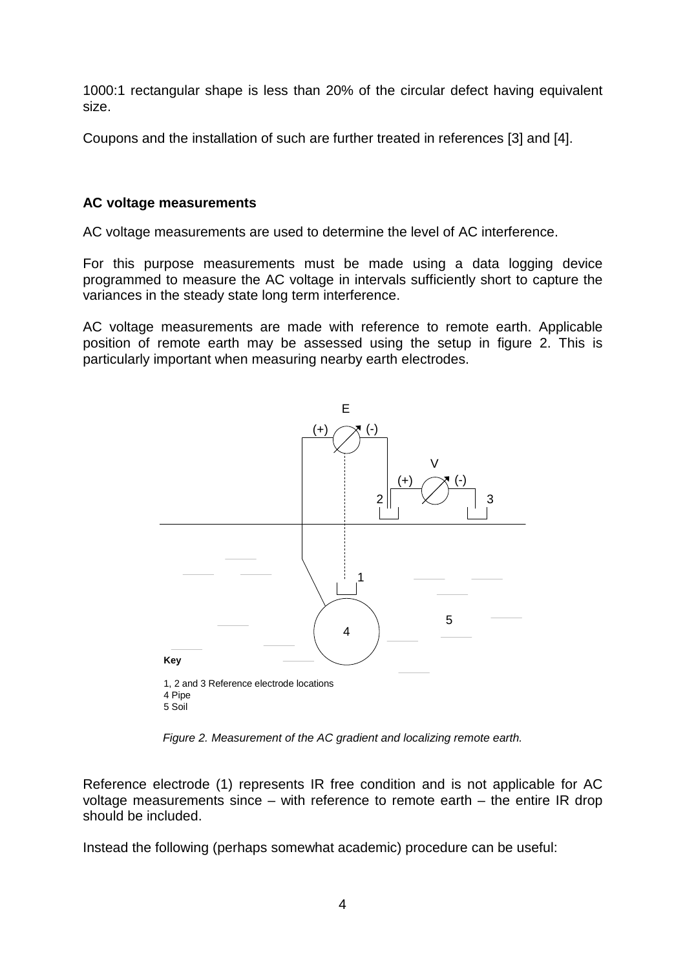1000:1 rectangular shape is less than 20% of the circular defect having equivalent size.

Coupons and the installation of such are further treated in references [3] and [4].

### **AC voltage measurements**

AC voltage measurements are used to determine the level of AC interference.

For this purpose measurements must be made using a data logging device programmed to measure the AC voltage in intervals sufficiently short to capture the variances in the steady state long term interference.

AC voltage measurements are made with reference to remote earth. Applicable position of remote earth may be assessed using the setup in figure 2. This is particularly important when measuring nearby earth electrodes.



Figure 2. Measurement of the AC gradient and localizing remote earth.

Reference electrode (1) represents IR free condition and is not applicable for AC voltage measurements since – with reference to remote earth – the entire IR drop should be included.

Instead the following (perhaps somewhat academic) procedure can be useful: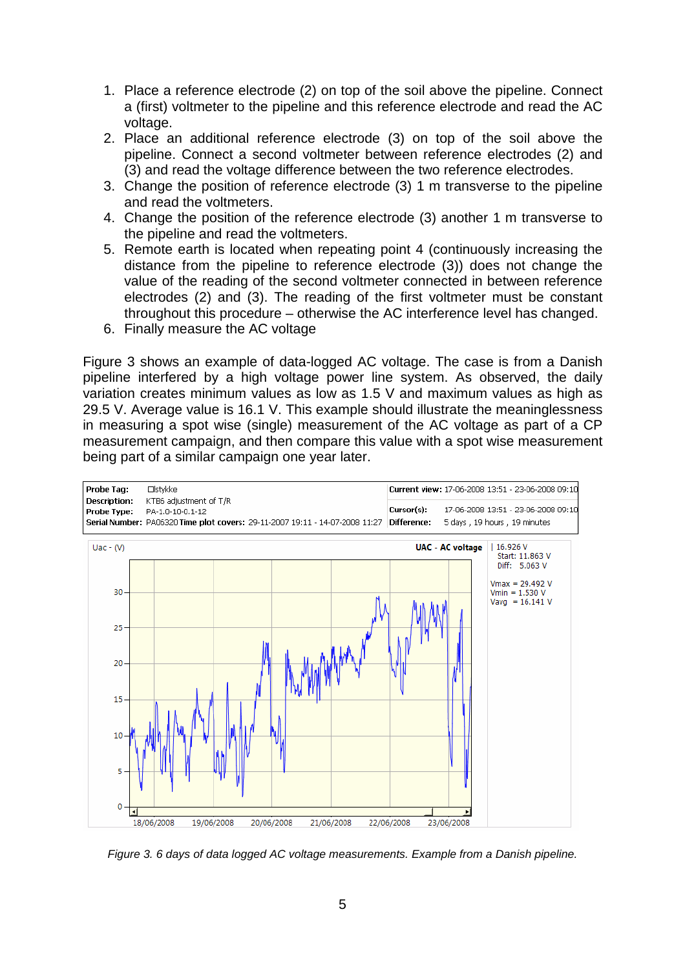- 1. Place a reference electrode (2) on top of the soil above the pipeline. Connect a (first) voltmeter to the pipeline and this reference electrode and read the AC voltage.
- 2. Place an additional reference electrode (3) on top of the soil above the pipeline. Connect a second voltmeter between reference electrodes (2) and (3) and read the voltage difference between the two reference electrodes.
- 3. Change the position of reference electrode (3) 1 m transverse to the pipeline and read the voltmeters.
- 4. Change the position of the reference electrode (3) another 1 m transverse to the pipeline and read the voltmeters.
- 5. Remote earth is located when repeating point 4 (continuously increasing the distance from the pipeline to reference electrode (3)) does not change the value of the reading of the second voltmeter connected in between reference electrodes (2) and (3). The reading of the first voltmeter must be constant throughout this procedure – otherwise the AC interference level has changed.
- 6. Finally measure the AC voltage

Figure 3 shows an example of data-logged AC voltage. The case is from a Danish pipeline interfered by a high voltage power line system. As observed, the daily variation creates minimum values as low as 1.5 V and maximum values as high as 29.5 V. Average value is 16.1 V. This example should illustrate the meaninglessness in measuring a spot wise (single) measurement of the AC voltage as part of a CP measurement campaign, and then compare this value with a spot wise measurement being part of a similar campaign one year later.



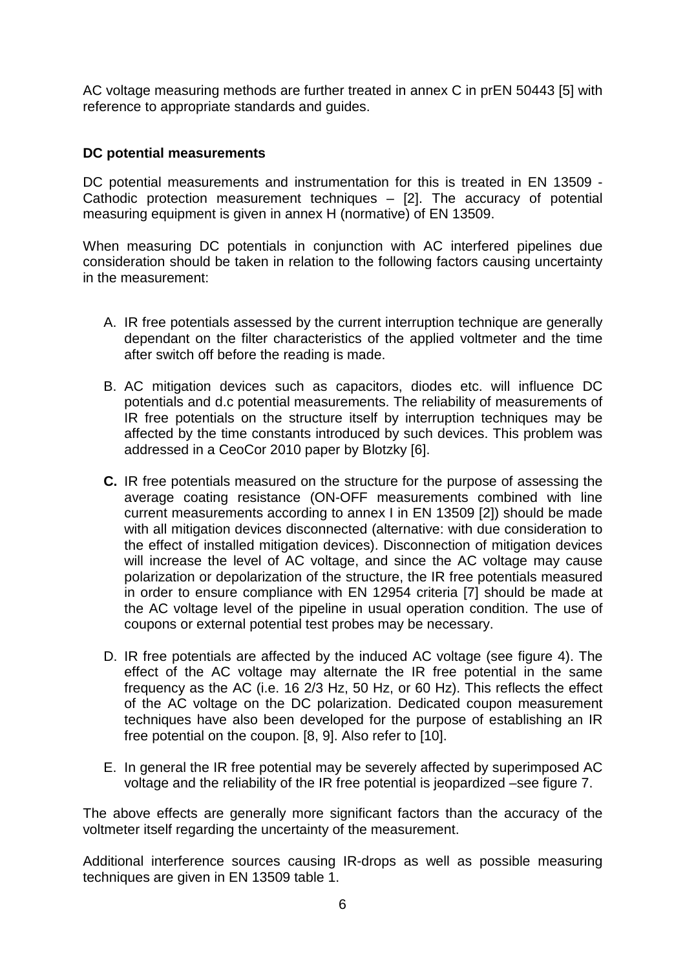AC voltage measuring methods are further treated in annex C in prEN 50443 [5] with reference to appropriate standards and guides.

### **DC potential measurements**

DC potential measurements and instrumentation for this is treated in EN 13509 - Cathodic protection measurement techniques – [2]. The accuracy of potential measuring equipment is given in annex H (normative) of EN 13509.

When measuring DC potentials in conjunction with AC interfered pipelines due consideration should be taken in relation to the following factors causing uncertainty in the measurement:

- A. IR free potentials assessed by the current interruption technique are generally dependant on the filter characteristics of the applied voltmeter and the time after switch off before the reading is made.
- B. AC mitigation devices such as capacitors, diodes etc. will influence DC potentials and d.c potential measurements. The reliability of measurements of IR free potentials on the structure itself by interruption techniques may be affected by the time constants introduced by such devices. This problem was addressed in a CeoCor 2010 paper by Blotzky [6].
- **C.** IR free potentials measured on the structure for the purpose of assessing the average coating resistance (ON-OFF measurements combined with line current measurements according to annex I in EN 13509 [2]) should be made with all mitigation devices disconnected (alternative: with due consideration to the effect of installed mitigation devices). Disconnection of mitigation devices will increase the level of AC voltage, and since the AC voltage may cause polarization or depolarization of the structure, the IR free potentials measured in order to ensure compliance with EN 12954 criteria [7] should be made at the AC voltage level of the pipeline in usual operation condition. The use of coupons or external potential test probes may be necessary.
- D. IR free potentials are affected by the induced AC voltage (see figure 4). The effect of the AC voltage may alternate the IR free potential in the same frequency as the AC (i.e. 16 2/3 Hz, 50 Hz, or 60 Hz). This reflects the effect of the AC voltage on the DC polarization. Dedicated coupon measurement techniques have also been developed for the purpose of establishing an IR free potential on the coupon. [8, 9]. Also refer to [10].
- E. In general the IR free potential may be severely affected by superimposed AC voltage and the reliability of the IR free potential is jeopardized –see figure 7.

The above effects are generally more significant factors than the accuracy of the voltmeter itself regarding the uncertainty of the measurement.

Additional interference sources causing IR-drops as well as possible measuring techniques are given in EN 13509 table 1.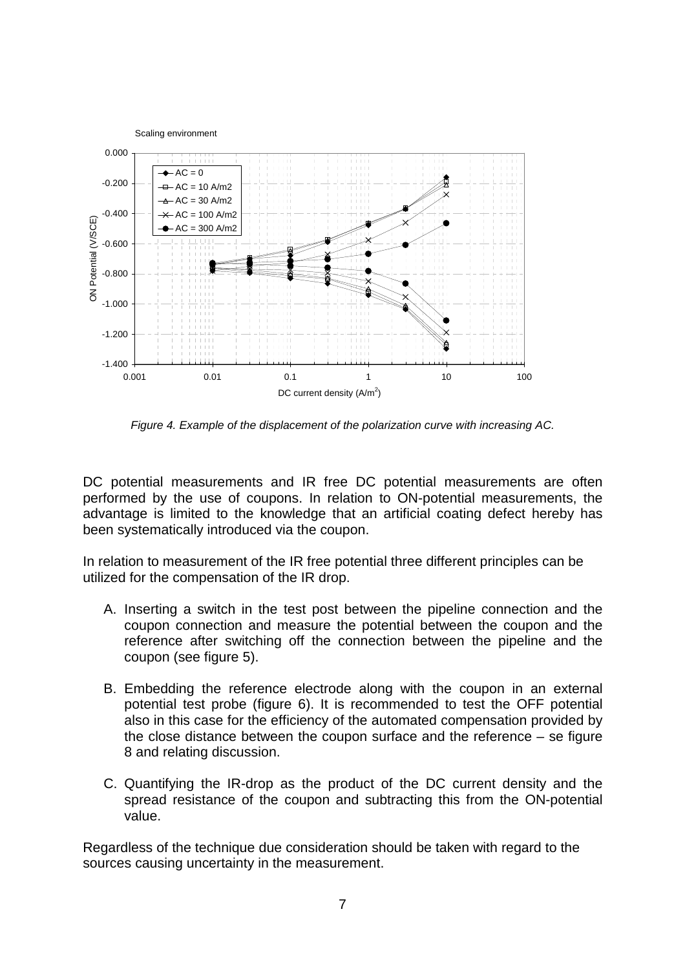

Figure 4. Example of the displacement of the polarization curve with increasing AC.

DC potential measurements and IR free DC potential measurements are often performed by the use of coupons. In relation to ON-potential measurements, the advantage is limited to the knowledge that an artificial coating defect hereby has been systematically introduced via the coupon.

In relation to measurement of the IR free potential three different principles can be utilized for the compensation of the IR drop.

- A. Inserting a switch in the test post between the pipeline connection and the coupon connection and measure the potential between the coupon and the reference after switching off the connection between the pipeline and the coupon (see figure 5).
- B. Embedding the reference electrode along with the coupon in an external potential test probe (figure 6). It is recommended to test the OFF potential also in this case for the efficiency of the automated compensation provided by the close distance between the coupon surface and the reference – se figure 8 and relating discussion.
- C. Quantifying the IR-drop as the product of the DC current density and the spread resistance of the coupon and subtracting this from the ON-potential value.

Regardless of the technique due consideration should be taken with regard to the sources causing uncertainty in the measurement.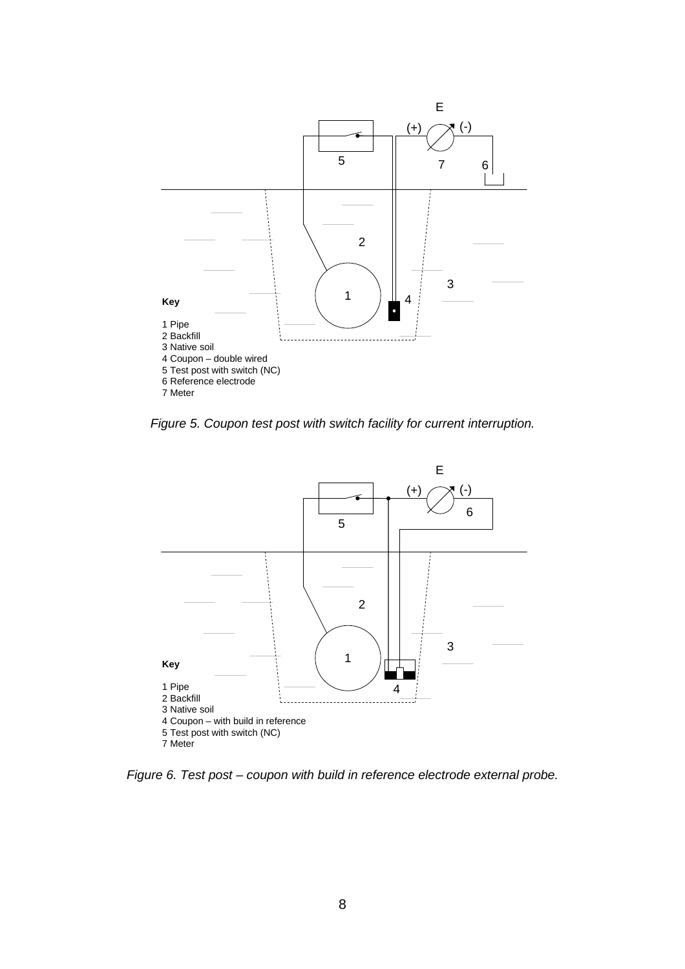

Figure 5. Coupon test post with switch facility for current interruption.



Figure 6. Test post – coupon with build in reference electrode external probe.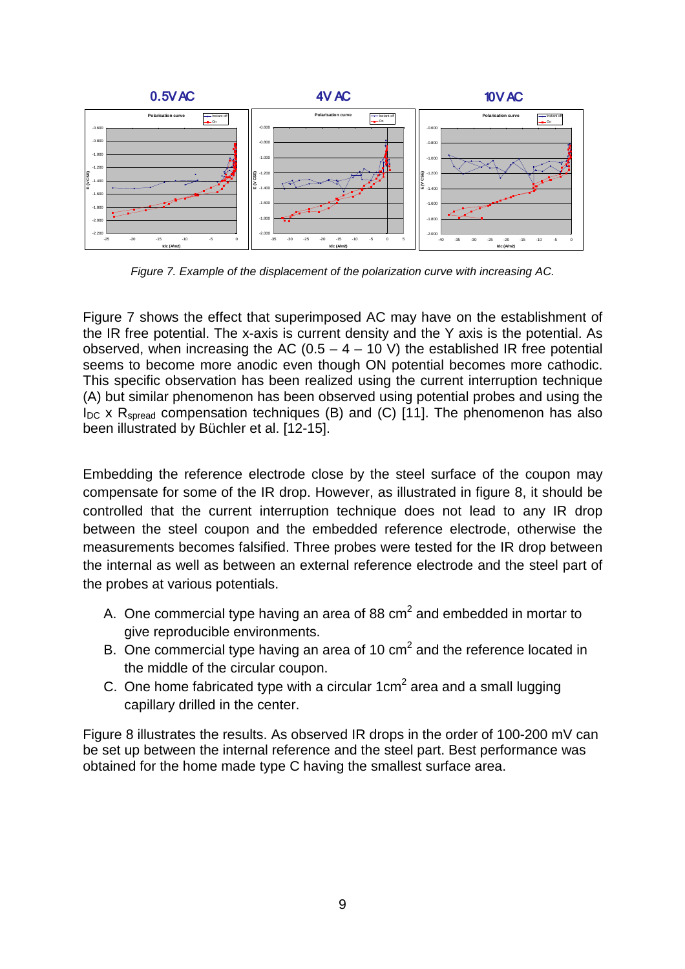

Figure 7. Example of the displacement of the polarization curve with increasing AC.

Figure 7 shows the effect that superimposed AC may have on the establishment of the IR free potential. The x-axis is current density and the Y axis is the potential. As observed, when increasing the AC (0.5 – 4 – 10 V) the established IR free potential seems to become more anodic even though ON potential becomes more cathodic. This specific observation has been realized using the current interruption technique (A) but similar phenomenon has been observed using potential probes and using the  $I_{DC}$  x R<sub>spread</sub> compensation techniques (B) and (C) [11]. The phenomenon has also been illustrated by Büchler et al. [12-15].

Embedding the reference electrode close by the steel surface of the coupon may compensate for some of the IR drop. However, as illustrated in figure 8, it should be controlled that the current interruption technique does not lead to any IR drop between the steel coupon and the embedded reference electrode, otherwise the measurements becomes falsified. Three probes were tested for the IR drop between the internal as well as between an external reference electrode and the steel part of the probes at various potentials.

- A. One commercial type having an area of 88 cm<sup>2</sup> and embedded in mortar to give reproducible environments.
- B. One commercial type having an area of 10 cm<sup>2</sup> and the reference located in the middle of the circular coupon.
- C. One home fabricated type with a circular 1cm<sup>2</sup> area and a small lugging capillary drilled in the center.

Figure 8 illustrates the results. As observed IR drops in the order of 100-200 mV can be set up between the internal reference and the steel part. Best performance was obtained for the home made type C having the smallest surface area.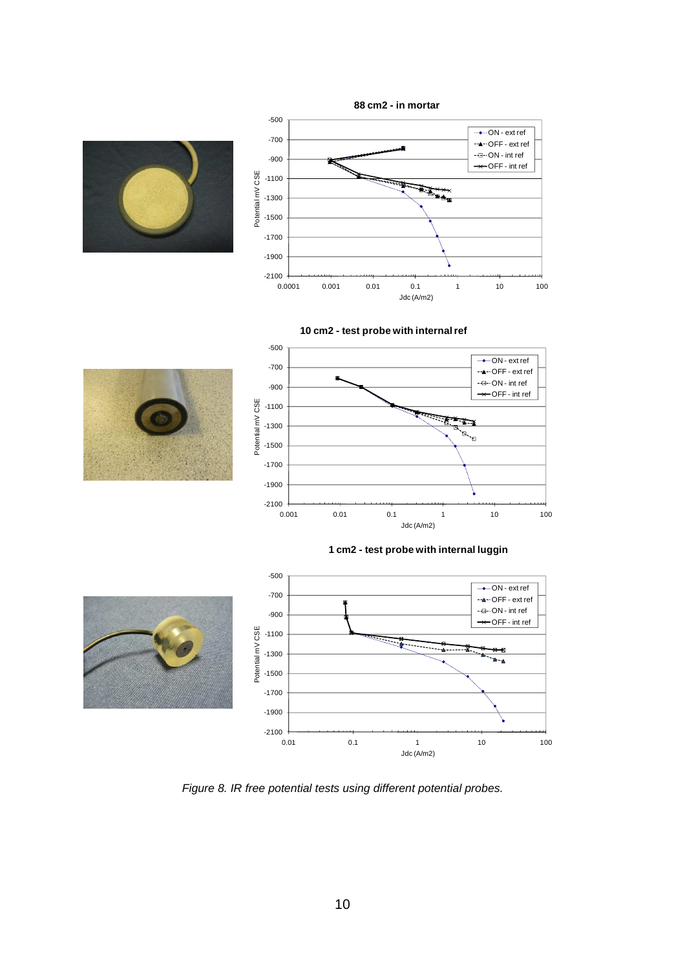











Figure 8. IR free potential tests using different potential probes.

0.01 0.1 1 10 100

Jdc (A/m2)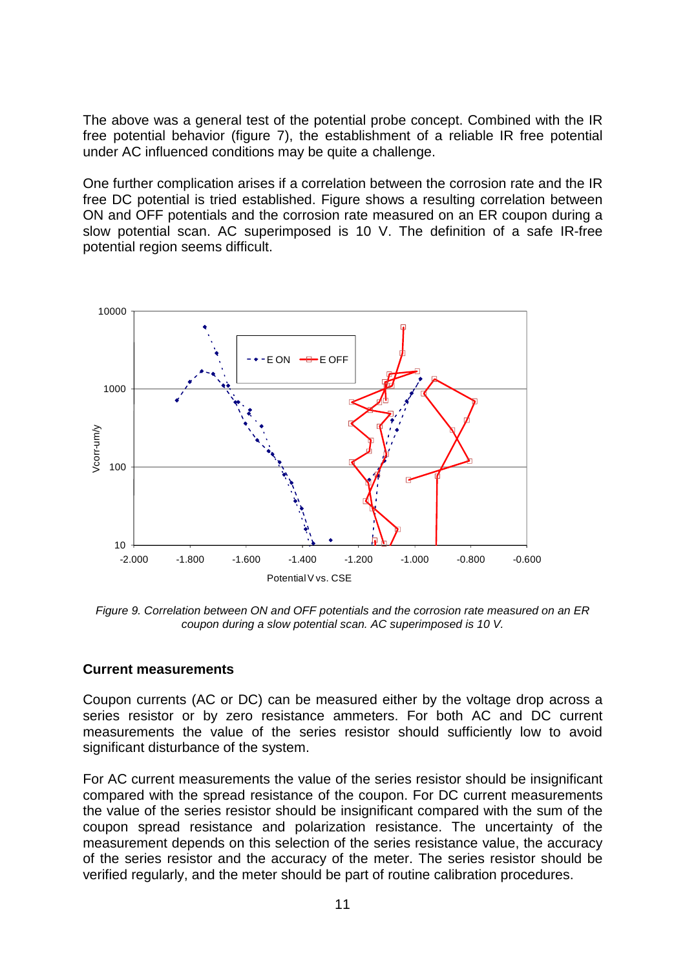The above was a general test of the potential probe concept. Combined with the IR free potential behavior (figure 7), the establishment of a reliable IR free potential under AC influenced conditions may be quite a challenge.

One further complication arises if a correlation between the corrosion rate and the IR free DC potential is tried established. Figure shows a resulting correlation between ON and OFF potentials and the corrosion rate measured on an ER coupon during a slow potential scan. AC superimposed is 10 V. The definition of a safe IR-free potential region seems difficult.



Figure 9. Correlation between ON and OFF potentials and the corrosion rate measured on an ER coupon during a slow potential scan. AC superimposed is 10 V.

#### **Current measurements**

Coupon currents (AC or DC) can be measured either by the voltage drop across a series resistor or by zero resistance ammeters. For both AC and DC current measurements the value of the series resistor should sufficiently low to avoid significant disturbance of the system.

For AC current measurements the value of the series resistor should be insignificant compared with the spread resistance of the coupon. For DC current measurements the value of the series resistor should be insignificant compared with the sum of the coupon spread resistance and polarization resistance. The uncertainty of the measurement depends on this selection of the series resistance value, the accuracy of the series resistor and the accuracy of the meter. The series resistor should be verified regularly, and the meter should be part of routine calibration procedures.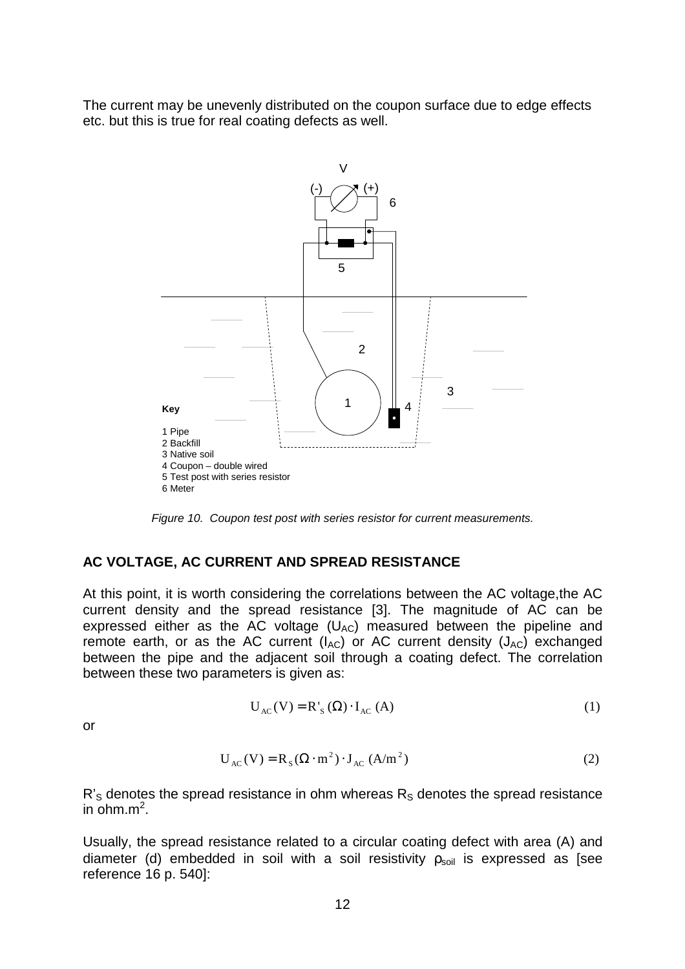The current may be unevenly distributed on the coupon surface due to edge effects etc. but this is true for real coating defects as well.



Figure 10. Coupon test post with series resistor for current measurements.

#### **AC VOLTAGE, AC CURRENT AND SPREAD RESISTANCE**

At this point, it is worth considering the correlations between the AC voltage,the AC current density and the spread resistance [3]. The magnitude of AC can be expressed either as the AC voltage  $(U_{AC})$  measured between the pipeline and remote earth, or as the AC current ( $I_{AC}$ ) or AC current density ( $J_{AC}$ ) exchanged between the pipe and the adjacent soil through a coating defect. The correlation between these two parameters is given as:

$$
U_{AC}(V) = R'_{S}(\Omega) \cdot I_{AC}(A)
$$
 (1)

or

$$
U_{AC}(V) = R_S(\Omega \cdot m^2) \cdot J_{AC}(A/m^2)
$$
 (2)

 $R's$  denotes the spread resistance in ohm whereas  $R<sub>S</sub>$  denotes the spread resistance in ohm. $m^2$ .

Usually, the spread resistance related to a circular coating defect with area (A) and diameter (d) embedded in soil with a soil resistivity  $p_{\text{sol}}$  is expressed as [see reference 16 p. 540]: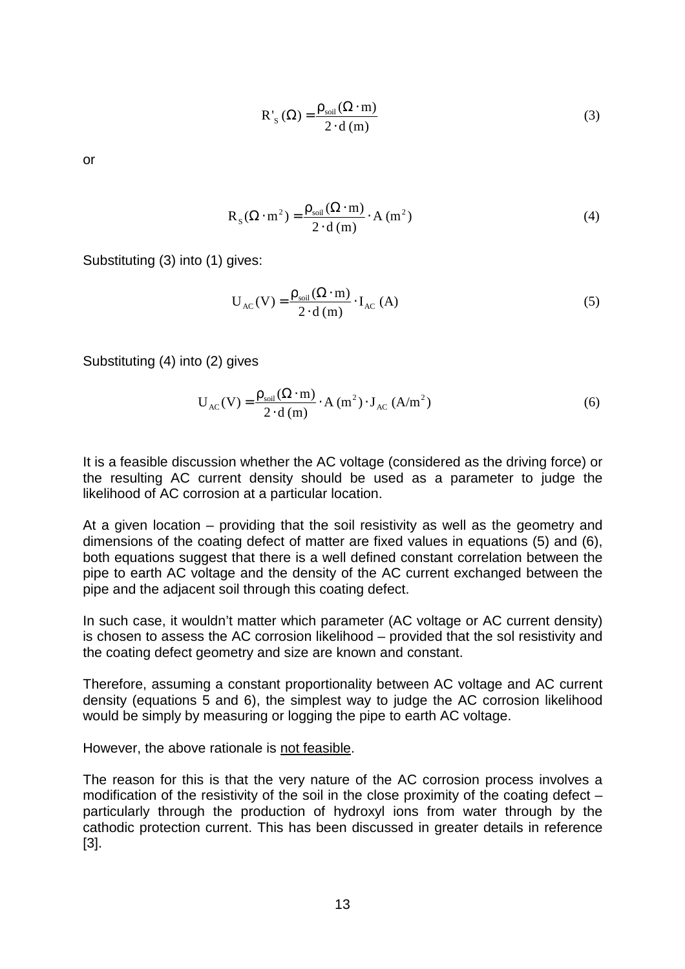$$
R'_{s}(\Omega) = \frac{\rho_{soil}(\Omega \cdot m)}{2 \cdot d(m)}
$$
(3)

or

$$
R_S(\Omega \cdot m^2) = \frac{\rho_{\text{soil}}(\Omega \cdot m)}{2 \cdot d(m)} \cdot A(m^2)
$$
 (4)

Substituting (3) into (1) gives:

$$
U_{AC}(V) = \frac{\rho_{soil}(\Omega \cdot m)}{2 \cdot d(m)} \cdot I_{AC}(A)
$$
 (5)

Substituting (4) into (2) gives

$$
U_{AC}(V) = \frac{\rho_{soil}(\Omega \cdot m)}{2 \cdot d(m)} \cdot A(m^2) \cdot J_{AC}(A/m^2)
$$
 (6)

It is a feasible discussion whether the AC voltage (considered as the driving force) or the resulting AC current density should be used as a parameter to judge the likelihood of AC corrosion at a particular location.

At a given location – providing that the soil resistivity as well as the geometry and dimensions of the coating defect of matter are fixed values in equations (5) and (6), both equations suggest that there is a well defined constant correlation between the pipe to earth AC voltage and the density of the AC current exchanged between the pipe and the adjacent soil through this coating defect.

In such case, it wouldn't matter which parameter (AC voltage or AC current density) is chosen to assess the AC corrosion likelihood – provided that the sol resistivity and the coating defect geometry and size are known and constant.

Therefore, assuming a constant proportionality between AC voltage and AC current density (equations 5 and 6), the simplest way to judge the AC corrosion likelihood would be simply by measuring or logging the pipe to earth AC voltage.

However, the above rationale is not feasible.

The reason for this is that the very nature of the AC corrosion process involves a modification of the resistivity of the soil in the close proximity of the coating defect – particularly through the production of hydroxyl ions from water through by the cathodic protection current. This has been discussed in greater details in reference [3].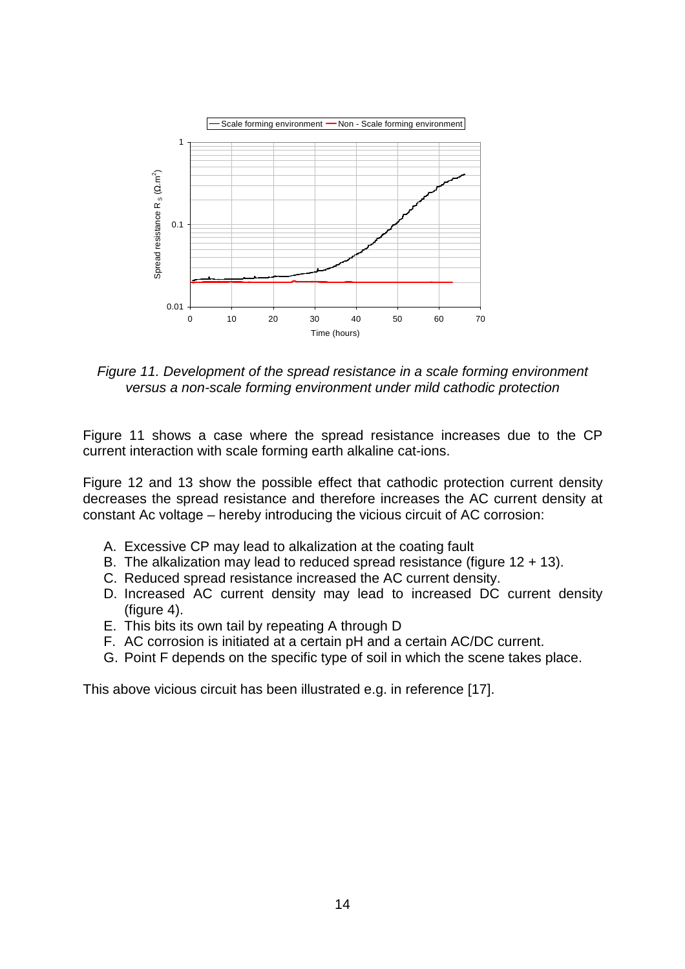

Figure 11. Development of the spread resistance in a scale forming environment versus a non-scale forming environment under mild cathodic protection

Figure 11 shows a case where the spread resistance increases due to the CP current interaction with scale forming earth alkaline cat-ions.

Figure 12 and 13 show the possible effect that cathodic protection current density decreases the spread resistance and therefore increases the AC current density at constant Ac voltage – hereby introducing the vicious circuit of AC corrosion:

- A. Excessive CP may lead to alkalization at the coating fault
- B. The alkalization may lead to reduced spread resistance (figure  $12 + 13$ ).
- C. Reduced spread resistance increased the AC current density.
- D. Increased AC current density may lead to increased DC current density (figure 4).
- E. This bits its own tail by repeating A through D
- F. AC corrosion is initiated at a certain pH and a certain AC/DC current.
- G. Point F depends on the specific type of soil in which the scene takes place.

This above vicious circuit has been illustrated e.g. in reference [17].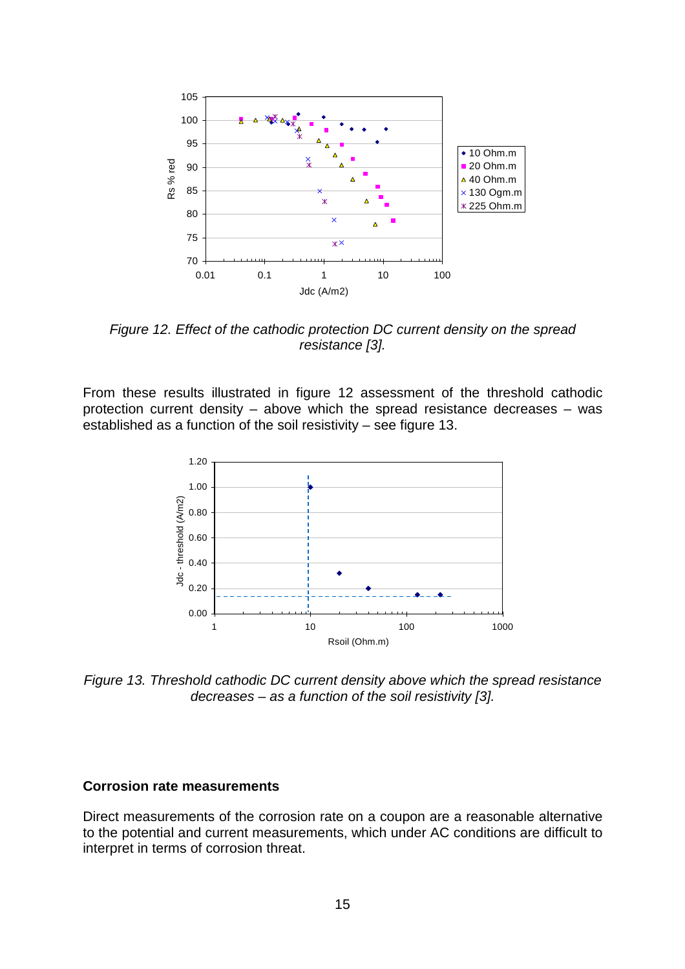

Figure 12. Effect of the cathodic protection DC current density on the spread resistance [3].

From these results illustrated in figure 12 assessment of the threshold cathodic protection current density – above which the spread resistance decreases – was established as a function of the soil resistivity – see figure 13.



Figure 13. Threshold cathodic DC current density above which the spread resistance decreases – as a function of the soil resistivity [3].

#### **Corrosion rate measurements**

Direct measurements of the corrosion rate on a coupon are a reasonable alternative to the potential and current measurements, which under AC conditions are difficult to interpret in terms of corrosion threat.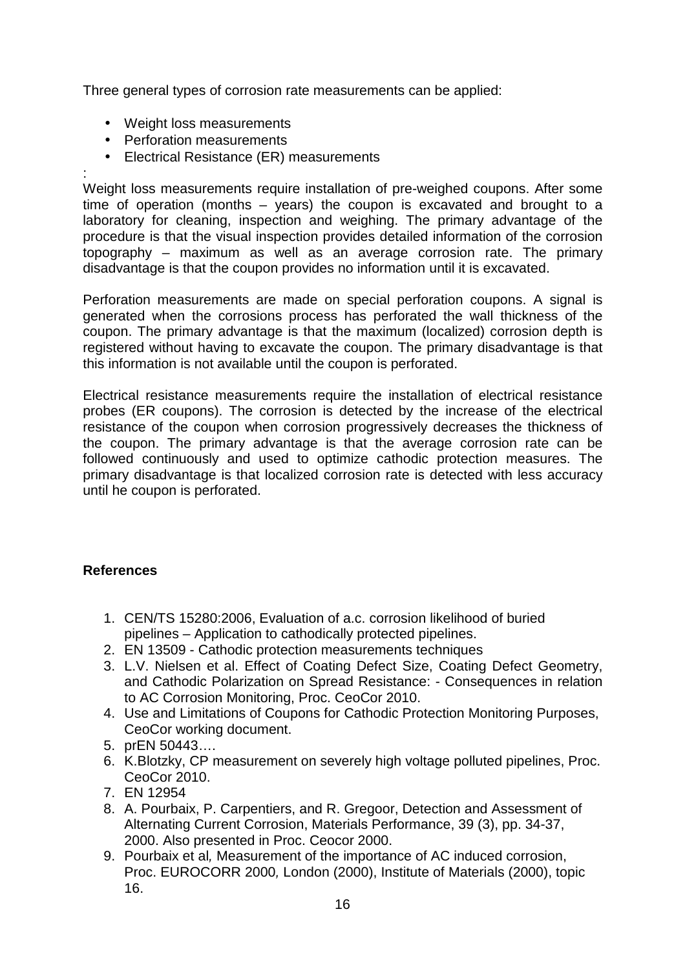Three general types of corrosion rate measurements can be applied:

- Weight loss measurements
- Perforation measurements
- Electrical Resistance (ER) measurements

: Weight loss measurements require installation of pre-weighed coupons. After some time of operation (months – years) the coupon is excavated and brought to a laboratory for cleaning, inspection and weighing. The primary advantage of the procedure is that the visual inspection provides detailed information of the corrosion topography – maximum as well as an average corrosion rate. The primary disadvantage is that the coupon provides no information until it is excavated.

Perforation measurements are made on special perforation coupons. A signal is generated when the corrosions process has perforated the wall thickness of the coupon. The primary advantage is that the maximum (localized) corrosion depth is registered without having to excavate the coupon. The primary disadvantage is that this information is not available until the coupon is perforated.

Electrical resistance measurements require the installation of electrical resistance probes (ER coupons). The corrosion is detected by the increase of the electrical resistance of the coupon when corrosion progressively decreases the thickness of the coupon. The primary advantage is that the average corrosion rate can be followed continuously and used to optimize cathodic protection measures. The primary disadvantage is that localized corrosion rate is detected with less accuracy until he coupon is perforated.

## **References**

- 1. CEN/TS 15280:2006, Evaluation of a.c. corrosion likelihood of buried pipelines – Application to cathodically protected pipelines.
- 2. EN 13509 Cathodic protection measurements techniques
- 3. L.V. Nielsen et al. Effect of Coating Defect Size, Coating Defect Geometry, and Cathodic Polarization on Spread Resistance: - Consequences in relation to AC Corrosion Monitoring, Proc. CeoCor 2010.
- 4. Use and Limitations of Coupons for Cathodic Protection Monitoring Purposes, CeoCor working document.
- 5. prEN 50443….
- 6. K.Blotzky, CP measurement on severely high voltage polluted pipelines, Proc. CeoCor 2010.
- 7. EN 12954
- 8. A. Pourbaix, P. Carpentiers, and R. Gregoor, Detection and Assessment of Alternating Current Corrosion, Materials Performance, 39 (3), pp. 34-37, 2000. Also presented in Proc. Ceocor 2000.
- 9. Pourbaix et al, Measurement of the importance of AC induced corrosion, Proc. EUROCORR 2000, London (2000), Institute of Materials (2000), topic 16.